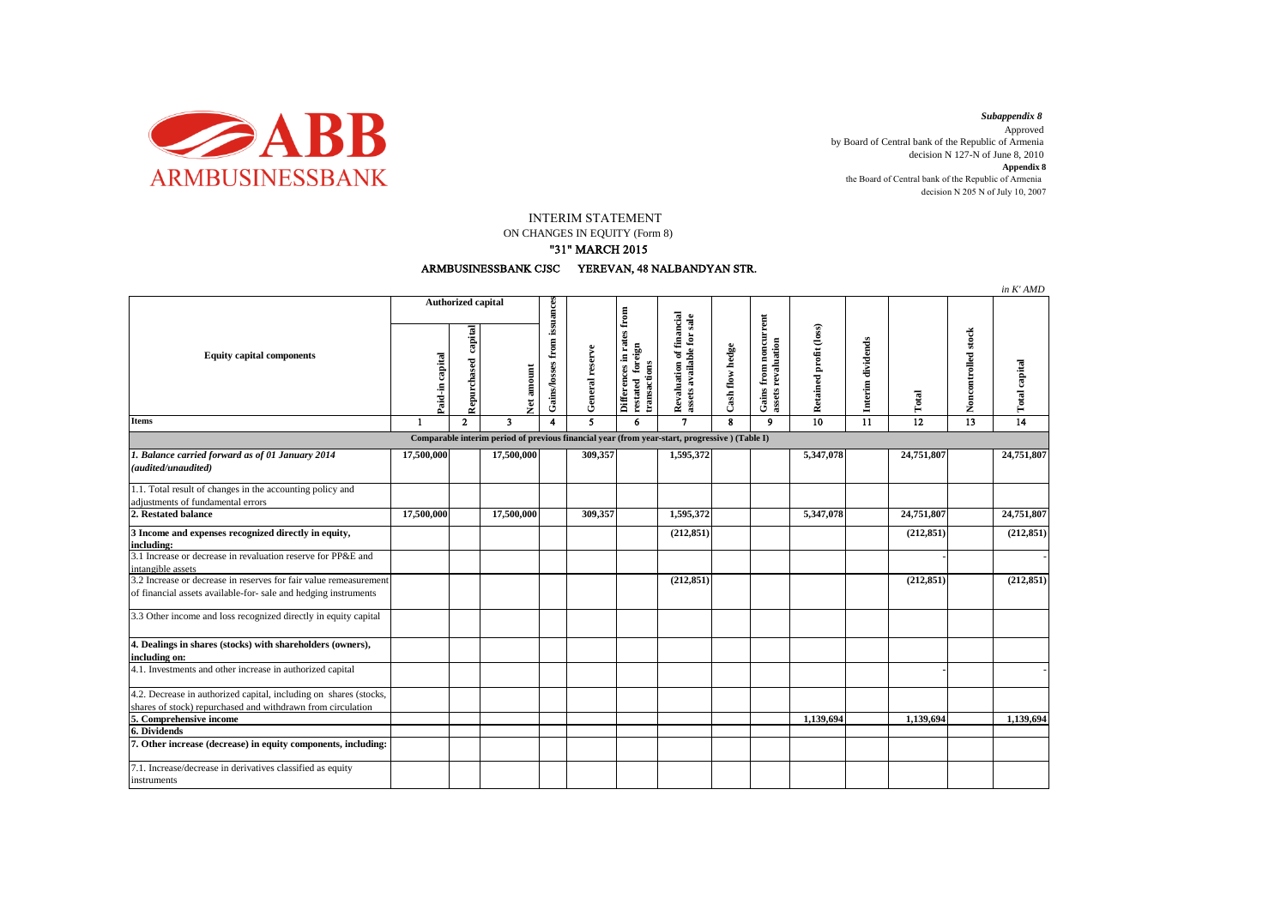

*Subappendix 8*  Approved by Board of Central bank of the Republic of Armenia decision N 127-N of June 8, 2010 **Appendix 8** the Board of Central bank of the Republic of Armenia decision N 205 N of July 10, 2007

INTERIM STATEMENT

ON CHANGES IN EQUITY (Form 8)

## "31" MARCH 2015



|                                                                                                                                      |                           |                        |                         |                                           |                 |                                                          |                                                       |                 |                                             |                        |                   |                 |                     | in K' AMD       |
|--------------------------------------------------------------------------------------------------------------------------------------|---------------------------|------------------------|-------------------------|-------------------------------------------|-----------------|----------------------------------------------------------|-------------------------------------------------------|-----------------|---------------------------------------------|------------------------|-------------------|-----------------|---------------------|-----------------|
| <b>Equity capital components</b>                                                                                                     | <b>Authorized capital</b> |                        |                         |                                           |                 | ${\bf from}$                                             |                                                       |                 |                                             |                        |                   |                 |                     |                 |
|                                                                                                                                      | Paid-in capital           | capital<br>Repurchased |                         | Gains/losses from issuances<br>Net amount | General reserve | Differences in rates<br>restated foreign<br>transactions | Revaluation of financial<br>assets available for sale | Cash flow hedge | Gains from noncurrent<br>assets revaluation | Retained profit (loss) | Interim dividends | Total           | Noncontrolled stock | Total capital   |
| Items                                                                                                                                | -1                        | $\mathbf{2}$           | $\overline{\mathbf{3}}$ | 4                                         | 5               | 6                                                        | $\mathbf{7}$                                          | 8               | 9                                           | $\overline{10}$        | 11                | $\overline{12}$ | 13                  | $\overline{14}$ |
| Comparable interim period of previous financial year (from year-start, progressive) (Table I)                                        |                           |                        |                         |                                           |                 |                                                          |                                                       |                 |                                             |                        |                   |                 |                     |                 |
| 1. Balance carried forward as of 01 January 2014<br>(audited/unaudited)                                                              | 17,500,000                |                        | 17,500,000              |                                           | 309,357         |                                                          | 1,595,372                                             |                 |                                             | 5,347,078              |                   | 24,751,807      |                     | 24,751,807      |
| 1.1. Total result of changes in the accounting policy and<br>adjustments of fundamental errors                                       |                           |                        |                         |                                           |                 |                                                          |                                                       |                 |                                             |                        |                   |                 |                     |                 |
| 2. Restated balance                                                                                                                  | 17,500,000                |                        | 17,500,000              |                                           | 309,357         |                                                          | 1,595,372                                             |                 |                                             | 5,347,078              |                   | 24,751,807      |                     | 24,751,807      |
| 3 Income and expenses recognized directly in equity,<br>including:                                                                   |                           |                        |                         |                                           |                 |                                                          | (212, 851)                                            |                 |                                             |                        |                   | (212, 851)      |                     | (212, 851)      |
| 3.1 Increase or decrease in revaluation reserve for PP&E and<br>intangible assets                                                    |                           |                        |                         |                                           |                 |                                                          |                                                       |                 |                                             |                        |                   |                 |                     |                 |
| 3.2 Increase or decrease in reserves for fair value remeasurement<br>of financial assets available-for- sale and hedging instruments |                           |                        |                         |                                           |                 |                                                          | (212, 851)                                            |                 |                                             |                        |                   | (212, 851)      |                     | (212, 851)      |
| 3.3 Other income and loss recognized directly in equity capital                                                                      |                           |                        |                         |                                           |                 |                                                          |                                                       |                 |                                             |                        |                   |                 |                     |                 |
| 4. Dealings in shares (stocks) with shareholders (owners),<br>including on:                                                          |                           |                        |                         |                                           |                 |                                                          |                                                       |                 |                                             |                        |                   |                 |                     |                 |
| 4.1. Investments and other increase in authorized capital                                                                            |                           |                        |                         |                                           |                 |                                                          |                                                       |                 |                                             |                        |                   |                 |                     |                 |
| 4.2. Decrease in authorized capital, including on shares (stocks,<br>shares of stock) repurchased and withdrawn from circulation     |                           |                        |                         |                                           |                 |                                                          |                                                       |                 |                                             |                        |                   |                 |                     |                 |
| 5. Comprehensive income                                                                                                              |                           |                        |                         |                                           |                 |                                                          |                                                       |                 |                                             | 1,139,694              |                   | 1,139,694       |                     | 1,139,694       |
| 6. Dividends                                                                                                                         |                           |                        |                         |                                           |                 |                                                          |                                                       |                 |                                             |                        |                   |                 |                     |                 |
| 7. Other increase (decrease) in equity components, including:                                                                        |                           |                        |                         |                                           |                 |                                                          |                                                       |                 |                                             |                        |                   |                 |                     |                 |
| 7.1. Increase/decrease in derivatives classified as equity<br>instruments                                                            |                           |                        |                         |                                           |                 |                                                          |                                                       |                 |                                             |                        |                   |                 |                     |                 |